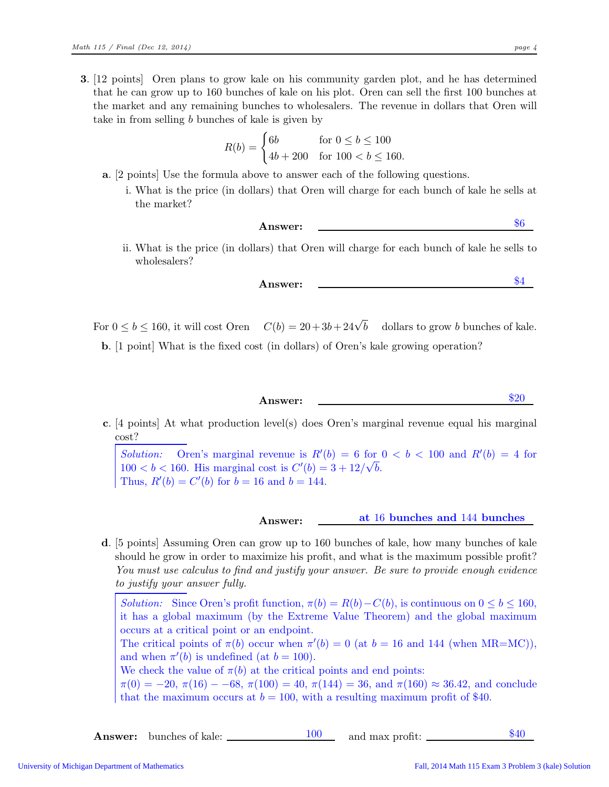3. [12 points] Oren plans to grow kale on his community garden plot, and he has determined that he can grow up to 160 bunches of kale on his plot. Oren can sell the first 100 bunches at the market and any remaining bunches to wholesalers. The revenue in dollars that Oren will take in from selling b bunches of kale is given by

$$
R(b) = \begin{cases} 6b & \text{for } 0 \le b \le 100 \\ 4b + 200 & \text{for } 100 < b \le 160. \end{cases}
$$

- a. [2 points] Use the formula above to answer each of the following questions.
	- i. What is the price (in dollars) that Oren will charge for each bunch of kale he sells at the market?

Answer: \$6

ii. What is the price (in dollars) that Oren will charge for each bunch of kale he sells to wholesalers?

Answer:  $\frac{\$4}{ }$ 

For  $0 \leq b \leq 160$ , it will cost Oren  $C(b) = 20 + 3b + 24\sqrt{b}$ dollars to grow b bunches of kale.

b. [1 point] What is the fixed cost (in dollars) of Oren's kale growing operation?

Answer:  $\textcircled{120}$ 

c. [4 points] At what production level(s) does Oren's marginal revenue equal his marginal cost?

Solution: Oren's marginal revenue is  $R'(b) = 6$  for  $0 < b < 100$  and  $R'(b) = 4$  for  $100 < b < 160$ . His marginal cost is  $C'(b) = 3 + 12/\sqrt{b}$ . Thus,  $R'(b) = C'(b)$  for  $b = 16$  and  $b = 144$ .

Answer: <u>at 16 bunches and 144 bunches</u>

d. [5 points] Assuming Oren can grow up to 160 bunches of kale, how many bunches of kale should he grow in order to maximize his profit, and what is the maximum possible profit? You must use calculus to find and justify your answer. Be sure to provide enough evidence to justify your answer fully.

*Solution:* Since Oren's profit function,  $\pi(b) = R(b) - C(b)$ , is continuous on  $0 \leq b \leq 160$ , it has a global maximum (by the Extreme Value Theorem) and the global maximum occurs at a critical point or an endpoint. The critical points of  $\pi(b)$  occur when  $\pi'(b) = 0$  (at  $b = 16$  and 144 (when MR=MC)),

and when  $\pi'(b)$  is undefined (at  $b = 100$ ).

We check the value of  $\pi(b)$  at the critical points and end points:

 $\pi(0) = -20, \pi(16) - 68, \pi(100) = 40, \pi(144) = 36, \text{ and } \pi(160) \approx 36.42, \text{ and conclude}$ that the maximum occurs at  $b = 100$ , with a resulting maximum profit of \$40.

**Answer:** bunches of kale:  $\frac{100}{20}$  and max profit:  $\frac{$40}{20}$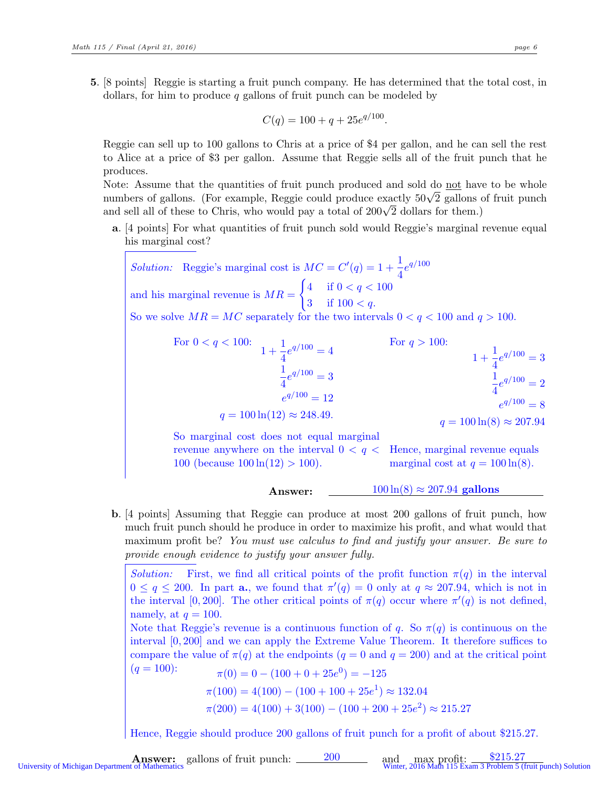5. [8 points] Reggie is starting a fruit punch company. He has determined that the total cost, in dollars, for him to produce q gallons of fruit punch can be modeled by

$$
C(q) = 100 + q + 25e^{q/100}.
$$

Reggie can sell up to 100 gallons to Chris at a price of \$4 per gallon, and he can sell the rest to Alice at a price of \$3 per gallon. Assume that Reggie sells all of the fruit punch that he produces.

Note: Assume that the quantities of fruit punch produced and sold do not have to be whole numbers of gallons. (For example, Reggie could produce exactly  $50\sqrt{2}$  gallons of fruit punch and sell all of these to Chris, who would pay a total of  $200\sqrt{2}$  dollars for them.)

a. [4 points] For what quantities of fruit punch sold would Reggie's marginal revenue equal his marginal cost?

Solution: Reggie's marginal cost is  $MC = C'(q) = 1 + \frac{1}{4}e^{q/100}$ and his marginal revenue is  $MR =$  $\int 4$  if  $0 < q < 100$ 3 if  $100 < q$ . So we solve  $MR = MC$  separately for the two intervals  $0 < q < 100$  and  $q > 100$ .

For 
$$
0 < q < 100
$$
:  
\n
$$
1 + \frac{1}{4}e^{q/100} = 4
$$
\nFor  $q > 100$ :  
\n
$$
\frac{1}{4}e^{q/100} = 3
$$
\n
$$
e^{q/100} = 12
$$
\n
$$
q = 100 \ln(12) \approx 248.49.
$$
\nFor  $q > 100$ :  
\n
$$
1 + \frac{1}{4}e^{q/100} = 3
$$
\n
$$
\frac{1}{4}e^{q/100} = 2
$$
\n
$$
e^{q/100} = 8
$$
\n
$$
q = 100 \ln(8) \approx 207.94
$$

So marginal cost does not equal marginal revenue anywhere on the interval  $0 < q <$ 100 (because  $100 \ln(12) > 100$ ). Hence, marginal revenue equals marginal cost at  $q = 100 \ln(8)$ .

Answer:  $100 \ln(8) \approx 207.94$  gallons

b. [4 points] Assuming that Reggie can produce at most 200 gallons of fruit punch, how much fruit punch should he produce in order to maximize his profit, and what would that maximum profit be? You must use calculus to find and justify your answer. Be sure to provide enough evidence to justify your answer fully.

Solution: First, we find all critical points of the profit function  $\pi(q)$  in the interval  $0 \le q \le 200$ . In part **a.**, we found that  $\pi'(q) = 0$  only at  $q \approx 207.94$ , which is not in the interval [0, 200]. The other critical points of  $\pi(q)$  occur where  $\pi'(q)$  is not defined, namely, at  $q = 100$ .

Note that Reggie's revenue is a continuous function of q. So  $\pi(q)$  is continuous on the interval [0, 200] and we can apply the Extreme Value Theorem. It therefore suffices to compare the value of  $\pi(q)$  at the endpoints  $(q = 0 \text{ and } q = 200)$  and at the critical point  $(q = 100)$ :

100):  
\n
$$
\pi(0) = 0 - (100 + 0 + 25e^{0}) = -125
$$
\n
$$
\pi(100) = 4(100) - (100 + 100 + 25e^{1}) \approx 132.04
$$
\n
$$
\pi(200) = 4(100) + 3(100) - (100 + 200 + 25e^{2}) \approx 215.27
$$

Hence, Reggie should produce 200 gallons of fruit punch for a profit of about \$215.27.

University of Michigan Department of Mathematics gallons of fruit punch: 200 and max profit: \$215.27<br>University of Michigan Department of Mathematics Winter, 2016 Math 115 Exam 3 Problem 5 (fruit punch) Solution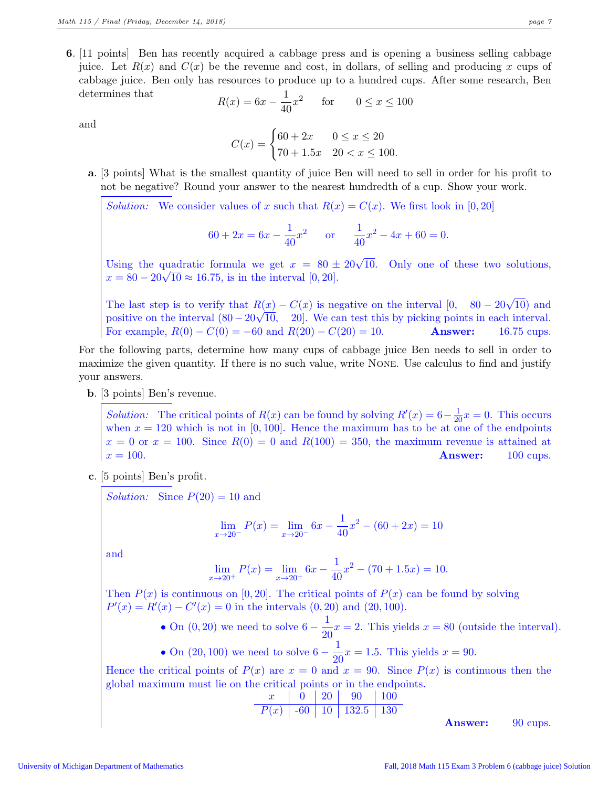6. [11 points] Ben has recently acquired a cabbage press and is opening a business selling cabbage juice. Let  $R(x)$  and  $C(x)$  be the revenue and cost, in dollars, of selling and producing x cups of cabbage juice. Ben only has resources to produce up to a hundred cups. After some research, Ben determines that

$$
R(x) = 6x - \frac{1}{40}x^2
$$
 for  $0 \le x \le 100$ 

and

$$
C(x) = \begin{cases} 60 + 2x & 0 \le x \le 20 \\ 70 + 1.5x & 20 < x \le 100. \end{cases}
$$

a. [3 points] What is the smallest quantity of juice Ben will need to sell in order for his profit to not be negative? Round your answer to the nearest hundredth of a cup. Show your work.

Solution: We consider values of x such that  $R(x) = C(x)$ . We first look in [0,20]

$$
60 + 2x = 6x - \frac{1}{40}x^2 \quad \text{or} \quad \frac{1}{40}x^2 - 4x + 60 = 0.
$$

Using the quadratic formula we get  $x = 80 \pm 20\sqrt{10}$ . Only one of these two solutions,  $x = 80 - 20\sqrt{10} \approx 16.75$ , is in the interval [0, 20].

The last step is to verify that  $R(x) - C(x)$  is negative on the interval  $[0, 80 - 20\sqrt{10})$  and positive on the interval  $(80 - 20\sqrt{10}, 20]$ . We can test this by picking points in each interval. For example,  $R(0) - C(0) = -60$  and  $R(20) - C(20) = 10$ . Answer: 16.75 cups.

For the following parts, determine how many cups of cabbage juice Ben needs to sell in order to maximize the given quantity. If there is no such value, write None. Use calculus to find and justify your answers.

b. [3 points] Ben's revenue.

Solution: The critical points of  $R(x)$  can be found by solving  $R'(x) = 6 - \frac{1}{20}x = 0$ . This occurs when  $x = 120$  which is not in [0, 100]. Hence the maximum has to be at one of the endpoints  $x = 0$  or  $x = 100$ . Since  $R(0) = 0$  and  $R(100) = 350$ , the maximum revenue is attained at  $x = 100.$  Answer: 100 cups.

c. [5 points] Ben's profit.

Solution: Since  $P(20) = 10$  and

$$
\lim_{x \to 20^-} P(x) = \lim_{x \to 20^-} 6x - \frac{1}{40}x^2 - (60 + 2x) = 10
$$

and

$$
\lim_{x \to 20^+} P(x) = \lim_{x \to 20^+} 6x - \frac{1}{40}x^2 - (70 + 1.5x) = 10.
$$

Then  $P(x)$  is continuous on [0, 20]. The critical points of  $P(x)$  can be found by solving  $P'(x) = R'(x) - C'(x) = 0$  in the intervals  $(0, 20)$  and  $(20, 100)$ .

• On  $(0, 20)$  we need to solve  $6 - \frac{1}{20}$  $\frac{1}{20}x = 2$ . This yields  $x = 80$  (outside the interval). 1

• On (20, 100) we need to solve 
$$
6 - \frac{1}{20}x = 1.5
$$
. This yields  $x = 90$ .

Hence the critical points of  $P(x)$  are  $x = 0$  and  $x = 90$ . Since  $P(x)$  is continuous then the global maximum must lie on the critical points or in the endpoints.

| $x$    | 0   | 20 | 90    | 100 |
|--------|-----|----|-------|-----|
| $P(x)$ | -60 | 10 | 132.5 | 130 |

Answer: 90 cups.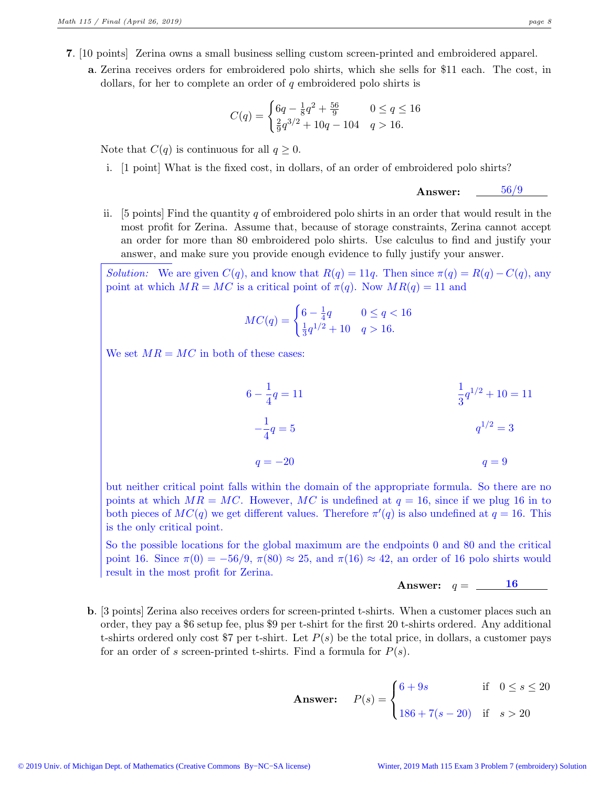a. Zerina receives orders for embroidered polo shirts, which she sells for \$11 each. The cost, in dollars, for her to complete an order of q embroidered polo shirts is

$$
C(q) = \begin{cases} 6q - \frac{1}{8}q^2 + \frac{56}{9} & 0 \le q \le 16\\ \frac{2}{9}q^{3/2} + 10q - 104 & q > 16. \end{cases}
$$

Note that  $C(q)$  is continuous for all  $q \geq 0$ .

i. [1 point] What is the fixed cost, in dollars, of an order of embroidered polo shirts?

Answer: 56/9

ii. [5 points] Find the quantity q of embroidered polo shirts in an order that would result in the most profit for Zerina. Assume that, because of storage constraints, Zerina cannot accept an order for more than 80 embroidered polo shirts. Use calculus to find and justify your answer, and make sure you provide enough evidence to fully justify your answer.

*Solution:* We are given  $C(q)$ , and know that  $R(q) = 11q$ . Then since  $\pi(q) = R(q) - C(q)$ , any point at which  $MR = MC$  is a critical point of  $\pi(q)$ . Now  $MR(q) = 11$  and

$$
MC(q) = \begin{cases} 6 - \frac{1}{4}q & 0 \le q < 16\\ \frac{1}{3}q^{1/2} + 10 & q > 16. \end{cases}
$$

We set  $MR = MC$  in both of these cases:

$$
6 - \frac{1}{4}q = 11
$$
  
\n
$$
-\frac{1}{4}q = 5
$$
  
\n
$$
q = -20
$$
  
\n
$$
d = 9
$$
  
\n
$$
d = 9
$$
  
\n
$$
d = 9
$$
  
\n
$$
d = 9
$$
  
\n
$$
d = 9
$$

but neither critical point falls within the domain of the appropriate formula. So there are no points at which  $MR = MC$ . However, MC is undefined at  $q = 16$ , since if we plug 16 in to both pieces of  $MC(q)$  we get different values. Therefore  $\pi'(q)$  is also undefined at  $q = 16$ . This is the only critical point.

So the possible locations for the global maximum are the endpoints 0 and 80 and the critical point 16. Since  $\pi(0) = -56/9$ ,  $\pi(80) \approx 25$ , and  $\pi(16) \approx 42$ , an order of 16 polo shirts would result in the most profit for Zerina.

Answer: 
$$
q = \underline{\hspace{1cm} 16}
$$

b. [3 points] Zerina also receives orders for screen-printed t-shirts. When a customer places such an order, they pay a \$6 setup fee, plus \$9 per t-shirt for the first 20 t-shirts ordered. Any additional t-shirts ordered only cost \$7 per t-shirt. Let  $P(s)$  be the total price, in dollars, a customer pays for an order of s screen-printed t-shirts. Find a formula for  $P(s)$ .

**Answer:** 
$$
P(s) = \begin{cases} 6+9s & \text{if } 0 \le s \le 20 \\ 186+7(s-20) & \text{if } s > 20 \end{cases}
$$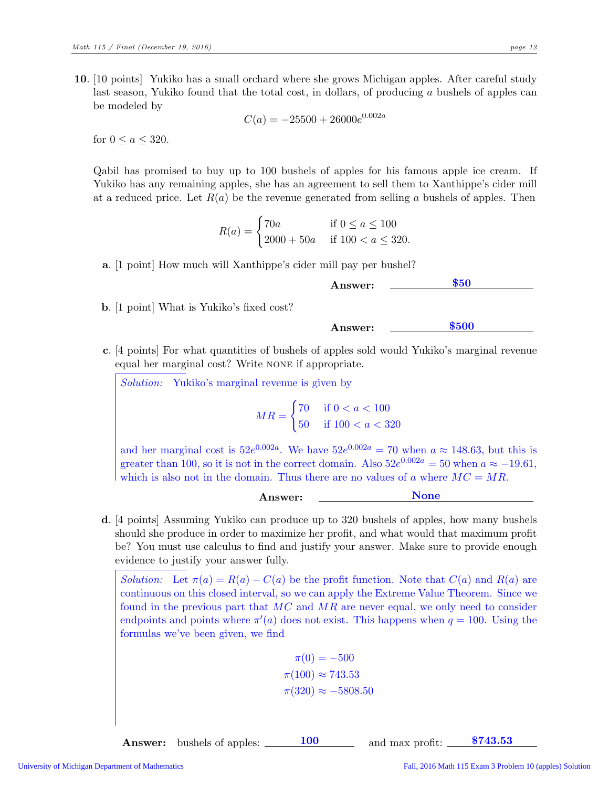10. [10 points] Yukiko has a small orchard where she grows Michigan apples. After careful study last season, Yukiko found that the total cost, in dollars, of producing a bushels of apples can be modeled by

$$
C(a) = -25500 + 26000e^{0.002a}
$$

for  $0 \leq a \leq 320$ .

Qabil has promised to buy up to 100 bushels of apples for his famous apple ice cream. If Yukiko has any remaining apples, she has an agreement to sell them to Xanthippe's cider mill at a reduced price. Let  $R(a)$  be the revenue generated from selling a bushels of apples. Then

$$
R(a) = \begin{cases} 70a & \text{if } 0 \le a \le 100 \\ 2000 + 50a & \text{if } 100 < a \le 320. \end{cases}
$$

a. [1 point] How much will Xanthippe's cider mill pay per bushel?

Answer: <u>550</u>

b. [1 point] What is Yukiko's fixed cost?

Answer: \$500

c. [4 points] For what quantities of bushels of apples sold would Yukiko's marginal revenue equal her marginal cost? Write none if appropriate.

Solution: Yukiko's marginal revenue is given by

$$
MR = \begin{cases} 70 & \text{if } 0 < a < 100 \\ 50 & \text{if } 100 < a < 320 \end{cases}
$$

and her marginal cost is  $52e^{0.002a}$ . We have  $52e^{0.002a} = 70$  when  $a \approx 148.63$ , but this is greater than 100, so it is not in the correct domain. Also  $52e^{0.002a} = 50$  when  $a \approx -19.61$ , which is also not in the domain. Thus there are no values of a where  $MC = MR$ .

| А<br>зиют.<br>---- |  |
|--------------------|--|
|                    |  |

d. [4 points] Assuming Yukiko can produce up to 320 bushels of apples, how many bushels should she produce in order to maximize her profit, and what would that maximum profit be? You must use calculus to find and justify your answer. Make sure to provide enough evidence to justify your answer fully.

*Solution:* Let  $\pi(a) = R(a) - C(a)$  be the profit function. Note that  $C(a)$  and  $R(a)$  are continuous on this closed interval, so we can apply the Extreme Value Theorem. Since we found in the previous part that  $MC$  and  $MR$  are never equal, we only need to consider endpoints and points where  $\pi'(a)$  does not exist. This happens when  $q = 100$ . Using the formulas we've been given, we find

$$
\pi(0) = -500
$$

$$
\pi(100) \approx 743.53
$$

$$
\pi(320) \approx -5808.50
$$

**Answer:** bushels of apples:  $\frac{100}{2}$  and max profit:  $\frac{$743.53}{2}$